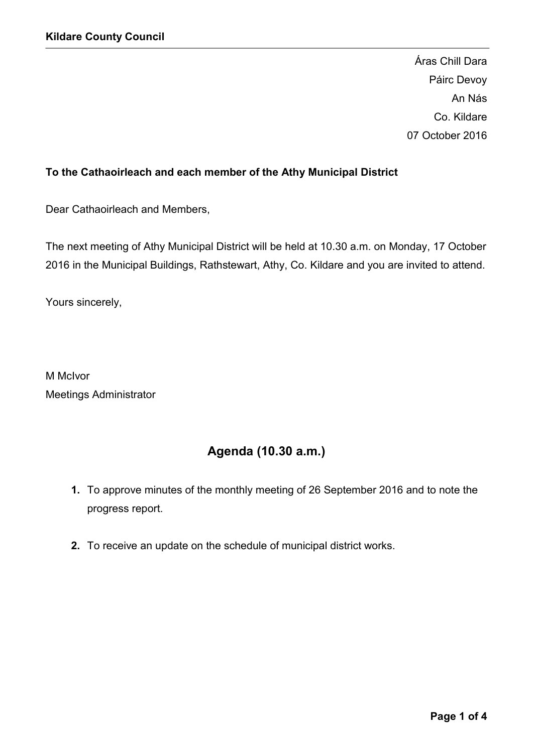Áras Chill Dara Páirc Devoy An Nás Co. Kildare 07 October 2016

# To the Cathaoirleach and each member of the Athy Municipal District

Dear Cathaoirleach and Members,

The next meeting of Athy Municipal District will be held at 10.30 a.m. on Monday, 17 October 2016 in the Municipal Buildings, Rathstewart, Athy, Co. Kildare and you are invited to attend.

Yours sincerely,

M McIvor Meetings Administrator

# Agenda (10.30 a.m.)

- 1. To approve minutes of the monthly meeting of 26 September 2016 and to note the progress report.
- 2. To receive an update on the schedule of municipal district works.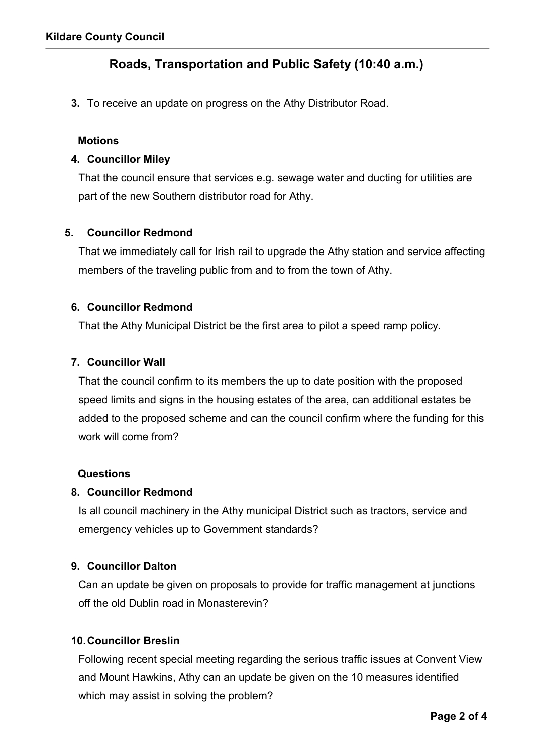# Roads, Transportation and Public Safety (10:40 a.m.)

3. To receive an update on progress on the Athy Distributor Road.

#### **Motions**

### 4. Councillor Miley

That the council ensure that services e.g. sewage water and ducting for utilities are part of the new Southern distributor road for Athy.

#### 5. Councillor Redmond

That we immediately call for Irish rail to upgrade the Athy station and service affecting members of the traveling public from and to from the town of Athy.

#### 6. Councillor Redmond

That the Athy Municipal District be the first area to pilot a speed ramp policy.

# 7. Councillor Wall

That the council confirm to its members the up to date position with the proposed speed limits and signs in the housing estates of the area, can additional estates be added to the proposed scheme and can the council confirm where the funding for this work will come from?

#### Questions

# 8. Councillor Redmond

Is all council machinery in the Athy municipal District such as tractors, service and emergency vehicles up to Government standards?

# 9. Councillor Dalton

Can an update be given on proposals to provide for traffic management at junctions off the old Dublin road in Monasterevin?

# 10.Councillor Breslin

Following recent special meeting regarding the serious traffic issues at Convent View and Mount Hawkins, Athy can an update be given on the 10 measures identified which may assist in solving the problem?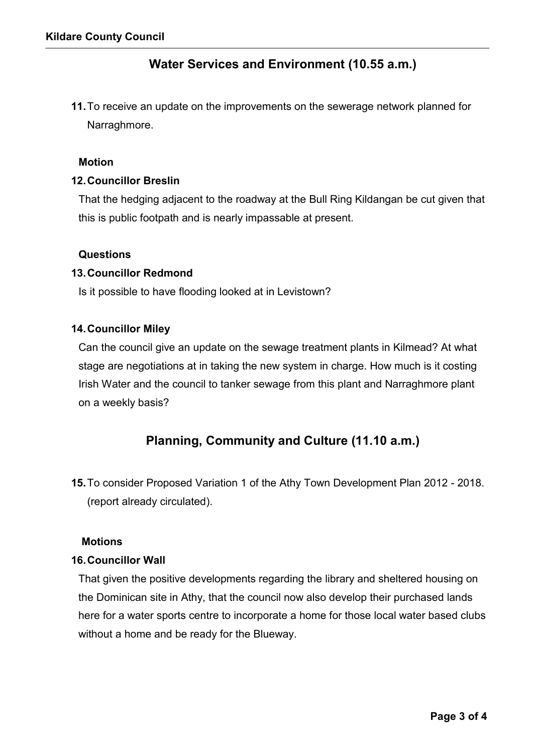# Water Services and Environment (10.55 a.m.)

11.To receive an update on the improvements on the sewerage network planned for Narraghmore.

#### Motion

### 12.Councillor Breslin

That the hedging adjacent to the roadway at the Bull Ring Kildangan be cut given that this is public footpath and is nearly impassable at present.

#### **Questions**

#### 13.Councillor Redmond

Is it possible to have flooding looked at in Levistown?

#### 14.Councillor Miley

Can the council give an update on the sewage treatment plants in Kilmead? At what stage are negotiations at in taking the new system in charge. How much is it costing Irish Water and the council to tanker sewage from this plant and Narraghmore plant on a weekly basis?

# Planning, Community and Culture (11.10 a.m.)

15.To consider Proposed Variation 1 of the Athy Town Development Plan 2012 - 2018. (report already circulated).

#### **Motions**

#### 16.Councillor Wall

That given the positive developments regarding the library and sheltered housing on the Dominican site in Athy, that the council now also develop their purchased lands here for a water sports centre to incorporate a home for those local water based clubs without a home and be ready for the Blueway.